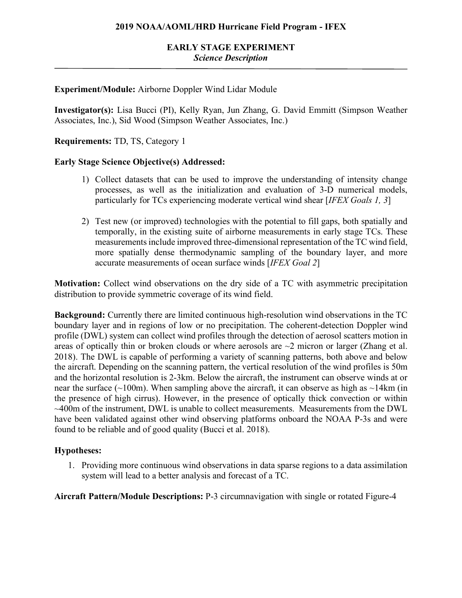# **Experiment/Module:** Airborne Doppler Wind Lidar Module

**Investigator(s):** Lisa Bucci (PI), Kelly Ryan, Jun Zhang, G. David Emmitt (Simpson Weather Associates, Inc.), Sid Wood (Simpson Weather Associates, Inc.)

**Requirements:** TD, TS, Category 1

### **Early Stage Science Objective(s) Addressed:**

- 1) Collect datasets that can be used to improve the understanding of intensity change processes, as well as the initialization and evaluation of 3-D numerical models, particularly for TCs experiencing moderate vertical wind shear [*IFEX Goals 1, 3*]
- 2) Test new (or improved) technologies with the potential to fill gaps, both spatially and temporally, in the existing suite of airborne measurements in early stage TCs. These measurements include improved three-dimensional representation of the TC wind field, more spatially dense thermodynamic sampling of the boundary layer, and more accurate measurements of ocean surface winds [*IFEX Goal 2*]

**Motivation:** Collect wind observations on the dry side of a TC with asymmetric precipitation distribution to provide symmetric coverage of its wind field.

**Background:** Currently there are limited continuous high-resolution wind observations in the TC boundary layer and in regions of low or no precipitation. The coherent-detection Doppler wind profile (DWL) system can collect wind profiles through the detection of aerosol scatters motion in areas of optically thin or broken clouds or where aerosols are  $\sim$ 2 micron or larger (Zhang et al. 2018). The DWL is capable of performing a variety of scanning patterns, both above and below the aircraft. Depending on the scanning pattern, the vertical resolution of the wind profiles is 50m and the horizontal resolution is 2-3km. Below the aircraft, the instrument can observe winds at or near the surface ( $\sim$ 100m). When sampling above the aircraft, it can observe as high as  $\sim$ 14km (in the presence of high cirrus). However, in the presence of optically thick convection or within ~400m of the instrument, DWL is unable to collect measurements. Measurements from the DWL have been validated against other wind observing platforms onboard the NOAA P-3s and were found to be reliable and of good quality (Bucci et al. 2018).

### **Hypotheses:**

1. Providing more continuous wind observations in data sparse regions to a data assimilation system will lead to a better analysis and forecast of a TC.

**Aircraft Pattern/Module Descriptions:** P-3 circumnavigation with single or rotated Figure-4